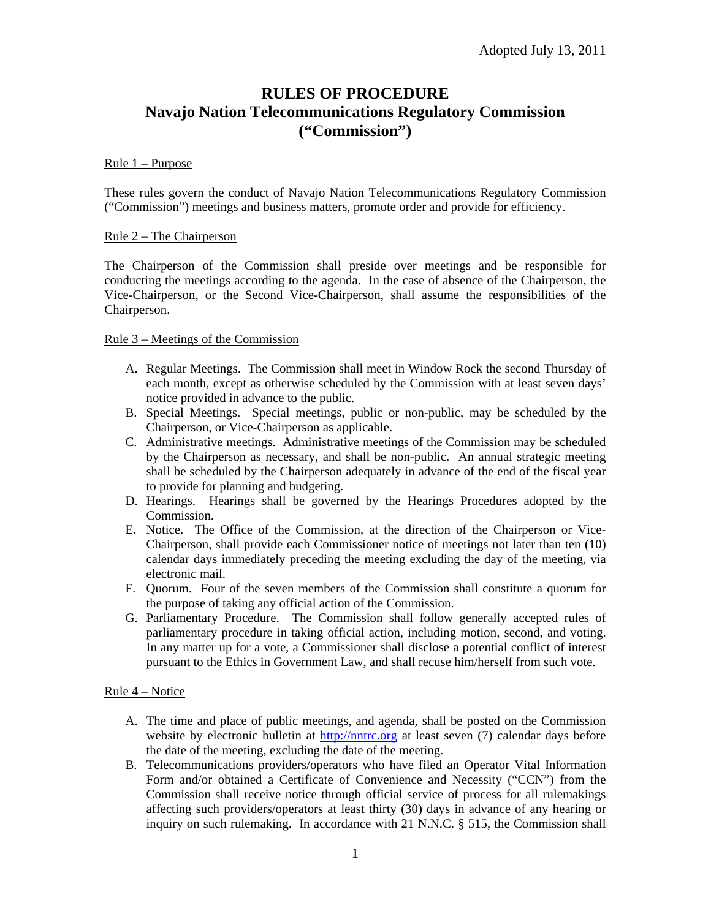# **RULES OF PROCEDURE Navajo Nation Telecommunications Regulatory Commission ("Commission")**

#### Rule 1 – Purpose

These rules govern the conduct of Navajo Nation Telecommunications Regulatory Commission ("Commission") meetings and business matters, promote order and provide for efficiency.

#### Rule 2 – The Chairperson

The Chairperson of the Commission shall preside over meetings and be responsible for conducting the meetings according to the agenda. In the case of absence of the Chairperson, the Vice-Chairperson, or the Second Vice-Chairperson, shall assume the responsibilities of the Chairperson.

#### Rule 3 – Meetings of the Commission

- A. Regular Meetings. The Commission shall meet in Window Rock the second Thursday of each month, except as otherwise scheduled by the Commission with at least seven days' notice provided in advance to the public.
- B. Special Meetings. Special meetings, public or non-public, may be scheduled by the Chairperson, or Vice-Chairperson as applicable.
- C. Administrative meetings. Administrative meetings of the Commission may be scheduled by the Chairperson as necessary, and shall be non-public. An annual strategic meeting shall be scheduled by the Chairperson adequately in advance of the end of the fiscal year to provide for planning and budgeting.
- D. Hearings. Hearings shall be governed by the Hearings Procedures adopted by the Commission.
- E. Notice. The Office of the Commission, at the direction of the Chairperson or Vice-Chairperson, shall provide each Commissioner notice of meetings not later than ten (10) calendar days immediately preceding the meeting excluding the day of the meeting, via electronic mail.
- F. Quorum. Four of the seven members of the Commission shall constitute a quorum for the purpose of taking any official action of the Commission.
- G. Parliamentary Procedure. The Commission shall follow generally accepted rules of parliamentary procedure in taking official action, including motion, second, and voting. In any matter up for a vote, a Commissioner shall disclose a potential conflict of interest pursuant to the Ethics in Government Law, and shall recuse him/herself from such vote.

#### Rule 4 – Notice

- A. The time and place of public meetings, and agenda, shall be posted on the Commission website by electronic bulletin at http://nntrc.org at least seven (7) calendar days before the date of the meeting, excluding the date of the meeting.
- B. Telecommunications providers/operators who have filed an Operator Vital Information Form and/or obtained a Certificate of Convenience and Necessity ("CCN") from the Commission shall receive notice through official service of process for all rulemakings affecting such providers/operators at least thirty (30) days in advance of any hearing or inquiry on such rulemaking. In accordance with 21 N.N.C. § 515, the Commission shall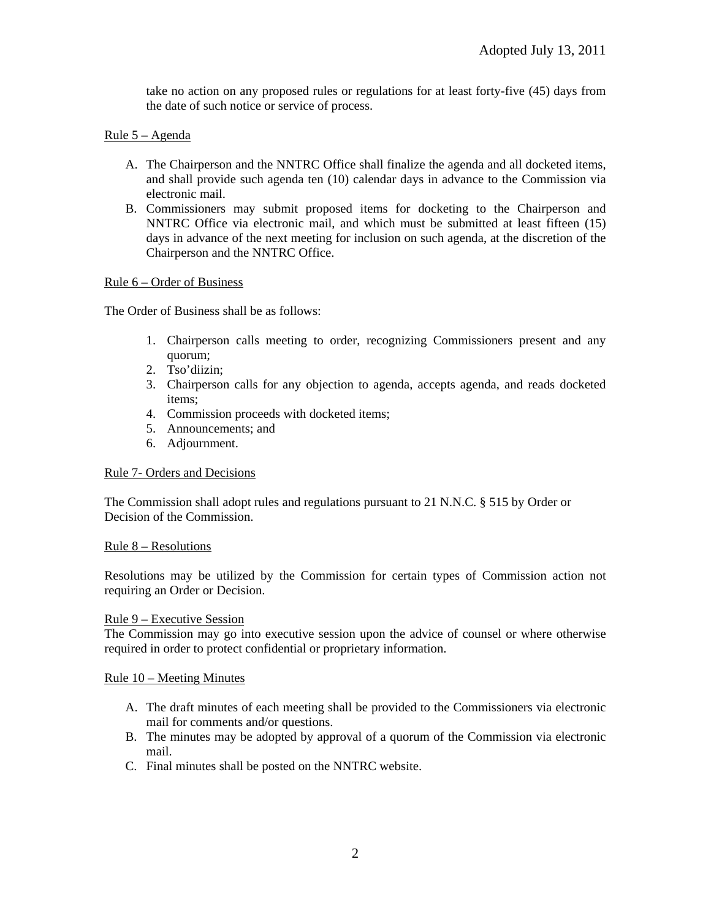take no action on any proposed rules or regulations for at least forty-five (45) days from the date of such notice or service of process.

# Rule 5 – Agenda

- A. The Chairperson and the NNTRC Office shall finalize the agenda and all docketed items, and shall provide such agenda ten (10) calendar days in advance to the Commission via electronic mail.
- B. Commissioners may submit proposed items for docketing to the Chairperson and NNTRC Office via electronic mail, and which must be submitted at least fifteen (15) days in advance of the next meeting for inclusion on such agenda, at the discretion of the Chairperson and the NNTRC Office.

#### Rule 6 – Order of Business

The Order of Business shall be as follows:

- 1. Chairperson calls meeting to order, recognizing Commissioners present and any quorum;
- 2. Tso'diizin;
- 3. Chairperson calls for any objection to agenda, accepts agenda, and reads docketed items;
- 4. Commission proceeds with docketed items;
- 5. Announcements; and
- 6. Adjournment.

# Rule 7- Orders and Decisions

The Commission shall adopt rules and regulations pursuant to 21 N.N.C. § 515 by Order or Decision of the Commission.

# Rule 8 – Resolutions

Resolutions may be utilized by the Commission for certain types of Commission action not requiring an Order or Decision.

#### Rule 9 – Executive Session

The Commission may go into executive session upon the advice of counsel or where otherwise required in order to protect confidential or proprietary information.

#### Rule 10 – Meeting Minutes

- A. The draft minutes of each meeting shall be provided to the Commissioners via electronic mail for comments and/or questions.
- B. The minutes may be adopted by approval of a quorum of the Commission via electronic mail.
- C. Final minutes shall be posted on the NNTRC website.